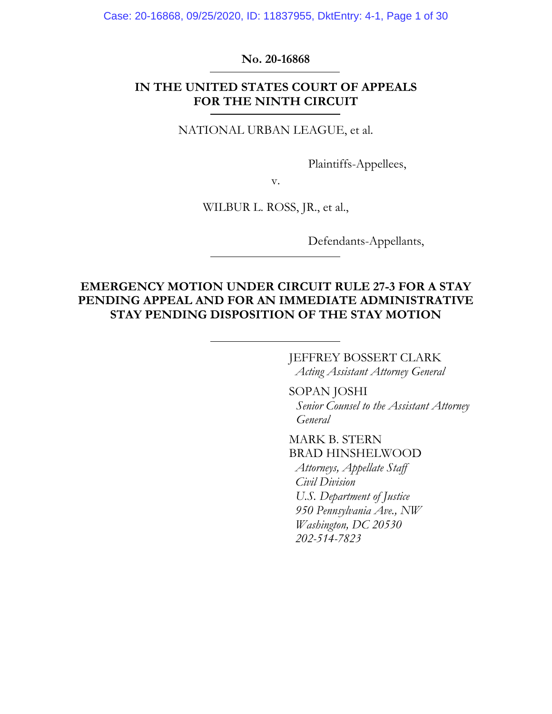## **No. 20-16868**

# **IN THE UNITED STATES COURT OF APPEALS FOR THE NINTH CIRCUIT**

NATIONAL URBAN LEAGUE, et al.

Plaintiffs-Appellees,

v.

WILBUR L. ROSS, JR., et al.,

Defendants-Appellants,

## **EMERGENCY MOTION UNDER CIRCUIT RULE 27-3 FOR A STAY PENDING APPEAL AND FOR AN IMMEDIATE ADMINISTRATIVE STAY PENDING DISPOSITION OF THE STAY MOTION**

JEFFREY BOSSERT CLARK *Acting Assistant Attorney General* 

SOPAN JOSHI *Senior Counsel to the Assistant Attorney General* 

MARK B. STERN BRAD HINSHELWOOD  *Attorneys, Appellate Staff Civil Division U.S. Department of Justice 950 Pennsylvania Ave., NW Washington, DC 20530 202-514-7823*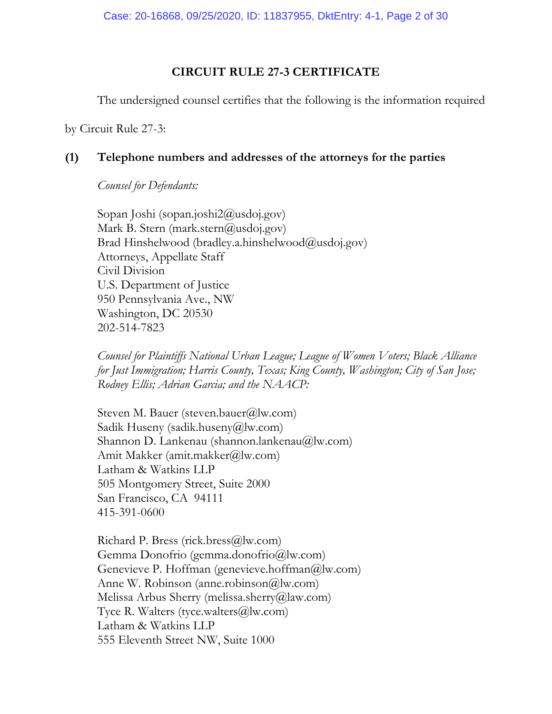## **CIRCUIT RULE 27-3 CERTIFICATE**

The undersigned counsel certifies that the following is the information required

by Circuit Rule 27-3:

## **(1) Telephone numbers and addresses of the attorneys for the parties**

*Counsel for Defendants:* 

Sopan Joshi (sopan.joshi2@usdoj.gov) Mark B. Stern (mark.stern@usdoj.gov) Brad Hinshelwood (bradley.a.hinshelwood@usdoj.gov) Attorneys, Appellate Staff Civil Division U.S. Department of Justice 950 Pennsylvania Ave., NW Washington, DC 20530 202-514-7823

*Counsel for Plaintiffs National Urban League; League of Women Voters; Black Alliance for Just Immigration; Harris County, Texas; King County, Washington; City of San Jose; Rodney Ellis; Adrian Garcia; and the NAACP:* 

Steven M. Bauer (steven.bauer@lw.com) Sadik Huseny (sadik.huseny@lw.com) Shannon D. Lankenau (shannon.lankenau@lw.com) Amit Makker (amit.makker@lw.com) Latham & Watkins LLP 505 Montgomery Street, Suite 2000 San Francisco, CA 94111 415-391-0600

Richard P. Bress (rick.bress@lw.com) Gemma Donofrio (gemma.donofrio@lw.com) Genevieve P. Hoffman (genevieve.hoffman@lw.com) Anne W. Robinson (anne.robinson@lw.com) Melissa Arbus Sherry (melissa.sherry@law.com) Tyce R. Walters (tyce.walters@lw.com) Latham & Watkins LLP 555 Eleventh Street NW, Suite 1000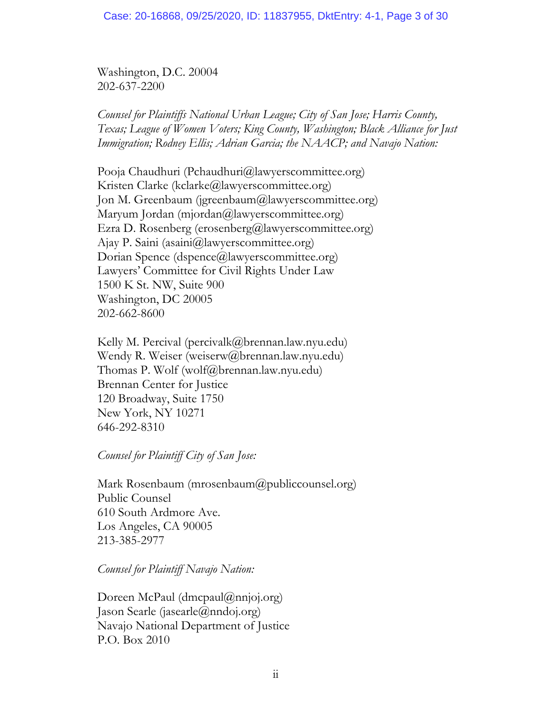Washington, D.C. 20004 202-637-2200

*Counsel for Plaintiffs National Urban League; City of San Jose; Harris County, Texas; League of Women Voters; King County, Washington; Black Alliance for Just Immigration; Rodney Ellis; Adrian Garcia; the NAACP; and Navajo Nation:*

Pooja Chaudhuri (Pchaudhuri@lawyerscommittee.org) Kristen Clarke (kclarke@lawyerscommittee.org) Jon M. Greenbaum (jgreenbaum@lawyerscommittee.org) Maryum Jordan (mjordan@lawyerscommittee.org) Ezra D. Rosenberg (erosenberg@lawyerscommittee.org) Ajay P. Saini (asaini@lawyerscommittee.org) Dorian Spence (dspence@lawyerscommittee.org) Lawyers' Committee for Civil Rights Under Law 1500 K St. NW, Suite 900 Washington, DC 20005 202-662-8600

Kelly M. Percival (percivalk@brennan.law.nyu.edu) Wendy R. Weiser (weiserw@brennan.law.nyu.edu) Thomas P. Wolf (wolf@brennan.law.nyu.edu) Brennan Center for Justice 120 Broadway, Suite 1750 New York, NY 10271 646-292-8310

## *Counsel for Plaintiff City of San Jose:*

Mark Rosenbaum (mrosenbaum@publiccounsel.org) Public Counsel 610 South Ardmore Ave. Los Angeles, CA 90005 213-385-2977

*Counsel for Plaintiff Navajo Nation:* 

Doreen McPaul (dmcpaul@nnjoj.org) Jason Searle (jasearle@nndoj.org) Navajo National Department of Justice P.O. Box 2010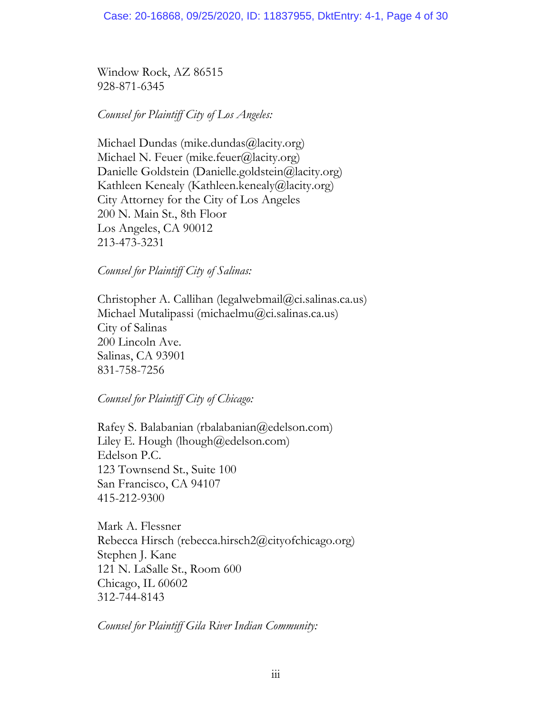Window Rock, AZ 86515 928-871-6345

*Counsel for Plaintiff City of Los Angeles:* 

Michael Dundas (mike.dundas@lacity.org) Michael N. Feuer (mike.feuer@lacity.org) Danielle Goldstein (Danielle.goldstein@lacity.org) Kathleen Kenealy (Kathleen.kenealy@lacity.org) City Attorney for the City of Los Angeles 200 N. Main St., 8th Floor Los Angeles, CA 90012 213-473-3231

*Counsel for Plaintiff City of Salinas:* 

Christopher A. Callihan (legalwebmail@ci.salinas.ca.us) Michael Mutalipassi (michaelmu@ci.salinas.ca.us) City of Salinas 200 Lincoln Ave. Salinas, CA 93901 831-758-7256

*Counsel for Plaintiff City of Chicago:* 

Rafey S. Balabanian (rbalabanian@edelson.com) Liley E. Hough (lhough $(\partial \text{redelson.com})$ ) Edelson P.C. 123 Townsend St., Suite 100 San Francisco, CA 94107 415-212-9300

Mark A. Flessner Rebecca Hirsch (rebecca.hirsch2@cityofchicago.org) Stephen J. Kane 121 N. LaSalle St., Room 600 Chicago, IL 60602 312-744-8143

*Counsel for Plaintiff Gila River Indian Community:*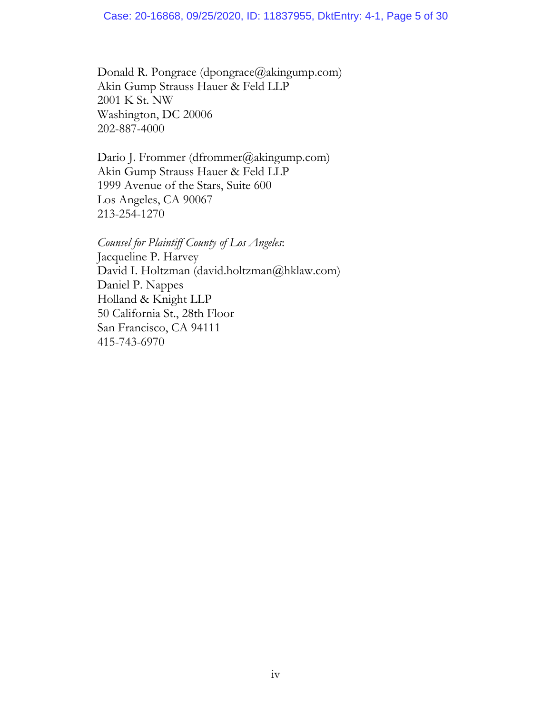Donald R. Pongrace (dpongrace@akingump.com) Akin Gump Strauss Hauer & Feld LLP 2001 K St. NW Washington, DC 20006 202-887-4000

Dario J. Frommer (dfrommer@akingump.com) Akin Gump Strauss Hauer & Feld LLP 1999 Avenue of the Stars, Suite 600 Los Angeles, CA 90067 213-254-1270

*Counsel for Plaintiff County of Los Angeles*: Jacqueline P. Harvey David I. Holtzman (david.holtzman@hklaw.com) Daniel P. Nappes Holland & Knight LLP 50 California St., 28th Floor San Francisco, CA 94111 415-743-6970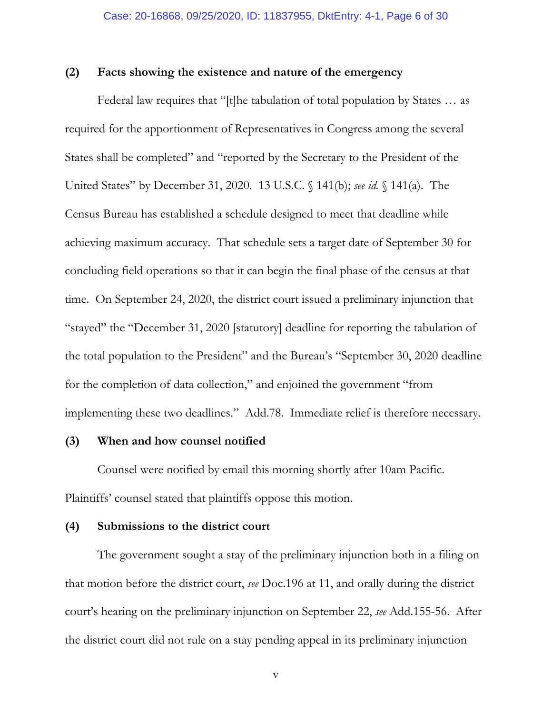### **(2) Facts showing the existence and nature of the emergency**

Federal law requires that "[t]he tabulation of total population by States … as required for the apportionment of Representatives in Congress among the several States shall be completed" and "reported by the Secretary to the President of the United States" by December 31, 2020. 13 U.S.C. § 141(b); *see id.* § 141(a). The Census Bureau has established a schedule designed to meet that deadline while achieving maximum accuracy. That schedule sets a target date of September 30 for concluding field operations so that it can begin the final phase of the census at that time. On September 24, 2020, the district court issued a preliminary injunction that "stayed" the "December 31, 2020 [statutory] deadline for reporting the tabulation of the total population to the President" and the Bureau's "September 30, 2020 deadline for the completion of data collection," and enjoined the government "from implementing these two deadlines." Add.78. Immediate relief is therefore necessary.

## **(3) When and how counsel notified**

Counsel were notified by email this morning shortly after 10am Pacific. Plaintiffs' counsel stated that plaintiffs oppose this motion.

## **(4) Submissions to the district court**

The government sought a stay of the preliminary injunction both in a filing on that motion before the district court, *see* Doc.196 at 11, and orally during the district court's hearing on the preliminary injunction on September 22, *see* Add.155-56. After the district court did not rule on a stay pending appeal in its preliminary injunction

v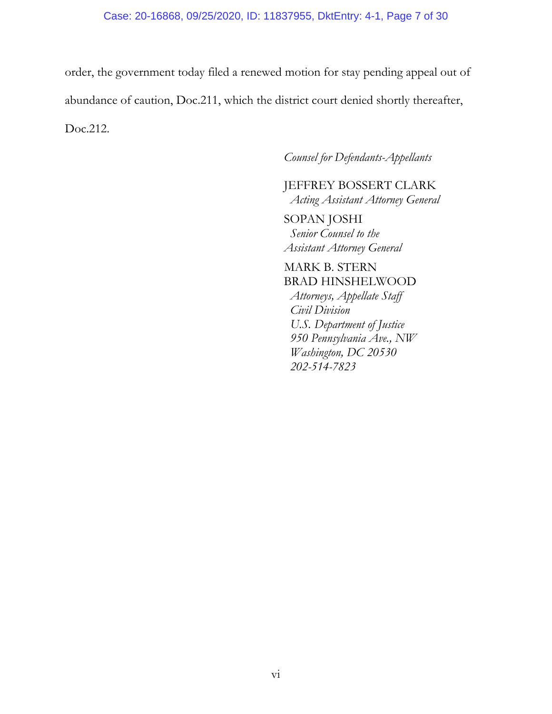order, the government today filed a renewed motion for stay pending appeal out of abundance of caution, Doc.211, which the district court denied shortly thereafter, Doc.212.

## *Counsel for Defendants-Appellants*

JEFFREY BOSSERT CLARK *Acting Assistant Attorney General* 

SOPAN JOSHI  *Senior Counsel to the Assistant Attorney General* 

# MARK B. STERN BRAD HINSHELWOOD

 *Attorneys, Appellate Staff Civil Division U.S. Department of Justice 950 Pennsylvania Ave., NW Washington, DC 20530 202-514-7823*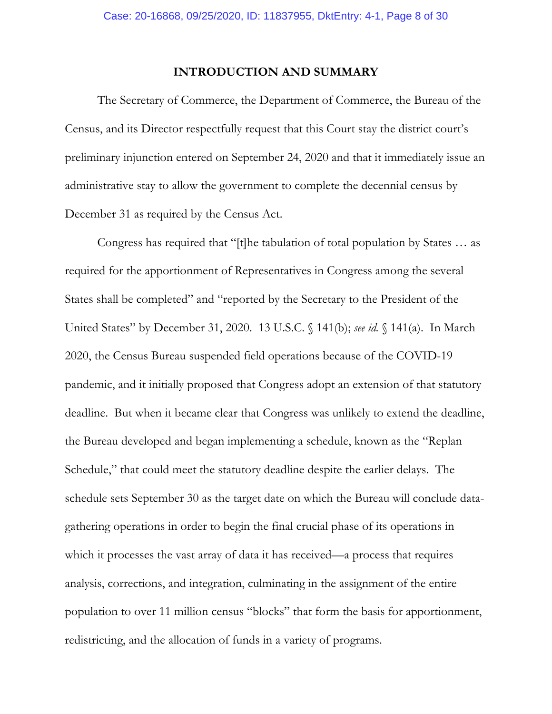## **INTRODUCTION AND SUMMARY**

The Secretary of Commerce, the Department of Commerce, the Bureau of the Census, and its Director respectfully request that this Court stay the district court's preliminary injunction entered on September 24, 2020 and that it immediately issue an administrative stay to allow the government to complete the decennial census by December 31 as required by the Census Act.

Congress has required that "[t]he tabulation of total population by States … as required for the apportionment of Representatives in Congress among the several States shall be completed" and "reported by the Secretary to the President of the United States" by December 31, 2020. 13 U.S.C. § 141(b); *see id.* § 141(a). In March 2020, the Census Bureau suspended field operations because of the COVID-19 pandemic, and it initially proposed that Congress adopt an extension of that statutory deadline. But when it became clear that Congress was unlikely to extend the deadline, the Bureau developed and began implementing a schedule, known as the "Replan Schedule," that could meet the statutory deadline despite the earlier delays. The schedule sets September 30 as the target date on which the Bureau will conclude datagathering operations in order to begin the final crucial phase of its operations in which it processes the vast array of data it has received—a process that requires analysis, corrections, and integration, culminating in the assignment of the entire population to over 11 million census "blocks" that form the basis for apportionment, redistricting, and the allocation of funds in a variety of programs.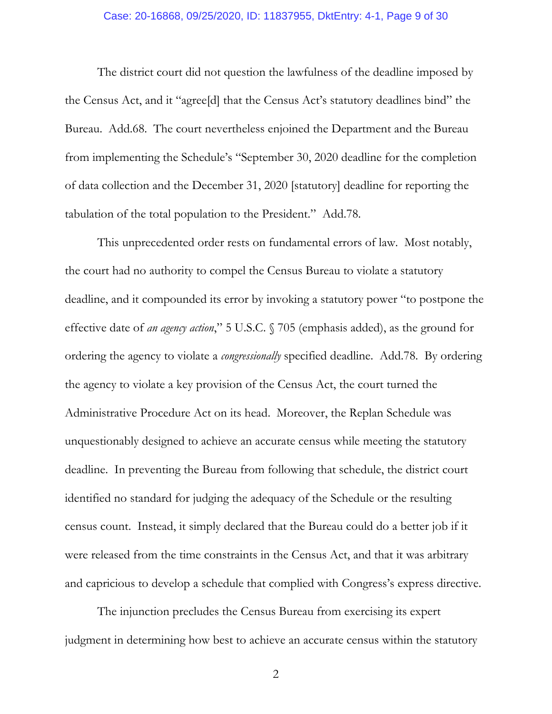#### Case: 20-16868, 09/25/2020, ID: 11837955, DktEntry: 4-1, Page 9 of 30

The district court did not question the lawfulness of the deadline imposed by the Census Act, and it "agree[d] that the Census Act's statutory deadlines bind" the Bureau. Add.68. The court nevertheless enjoined the Department and the Bureau from implementing the Schedule's "September 30, 2020 deadline for the completion of data collection and the December 31, 2020 [statutory] deadline for reporting the tabulation of the total population to the President." Add.78.

This unprecedented order rests on fundamental errors of law. Most notably, the court had no authority to compel the Census Bureau to violate a statutory deadline, and it compounded its error by invoking a statutory power "to postpone the effective date of *an agency action*," 5 U.S.C. § 705 (emphasis added), as the ground for ordering the agency to violate a *congressionally* specified deadline. Add.78. By ordering the agency to violate a key provision of the Census Act, the court turned the Administrative Procedure Act on its head. Moreover, the Replan Schedule was unquestionably designed to achieve an accurate census while meeting the statutory deadline. In preventing the Bureau from following that schedule, the district court identified no standard for judging the adequacy of the Schedule or the resulting census count. Instead, it simply declared that the Bureau could do a better job if it were released from the time constraints in the Census Act, and that it was arbitrary and capricious to develop a schedule that complied with Congress's express directive.

The injunction precludes the Census Bureau from exercising its expert judgment in determining how best to achieve an accurate census within the statutory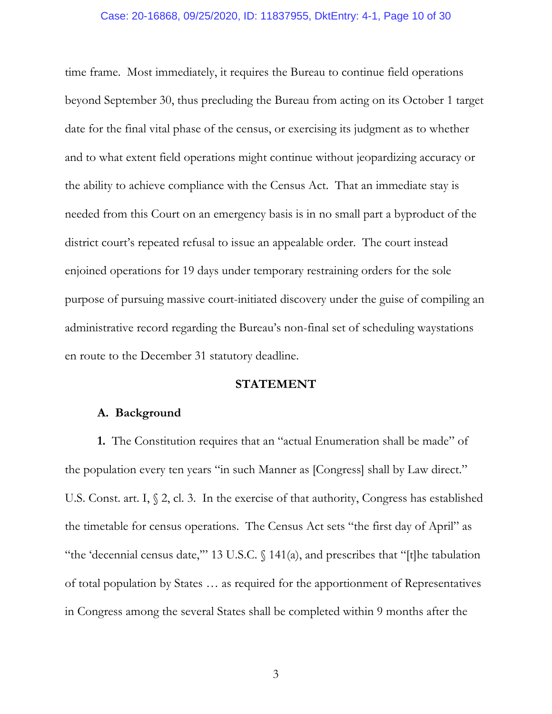#### Case: 20-16868, 09/25/2020, ID: 11837955, DktEntry: 4-1, Page 10 of 30

time frame. Most immediately, it requires the Bureau to continue field operations beyond September 30, thus precluding the Bureau from acting on its October 1 target date for the final vital phase of the census, or exercising its judgment as to whether and to what extent field operations might continue without jeopardizing accuracy or the ability to achieve compliance with the Census Act. That an immediate stay is needed from this Court on an emergency basis is in no small part a byproduct of the district court's repeated refusal to issue an appealable order. The court instead enjoined operations for 19 days under temporary restraining orders for the sole purpose of pursuing massive court-initiated discovery under the guise of compiling an administrative record regarding the Bureau's non-final set of scheduling waystations en route to the December 31 statutory deadline.

## **STATEMENT**

## **A. Background**

**1.** The Constitution requires that an "actual Enumeration shall be made" of the population every ten years "in such Manner as [Congress] shall by Law direct." U.S. Const. art. I, § 2, cl. 3. In the exercise of that authority, Congress has established the timetable for census operations. The Census Act sets "the first day of April" as "the 'decennial census date,'" 13 U.S.C. § 141(a), and prescribes that "[t]he tabulation of total population by States … as required for the apportionment of Representatives in Congress among the several States shall be completed within 9 months after the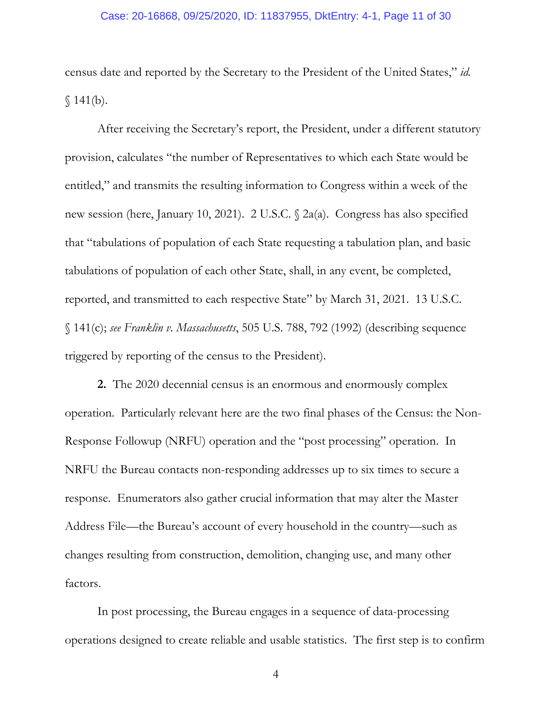### Case: 20-16868, 09/25/2020, ID: 11837955, DktEntry: 4-1, Page 11 of 30

census date and reported by the Secretary to the President of the United States," *id.*  $$141(b).$ 

After receiving the Secretary's report, the President, under a different statutory provision, calculates "the number of Representatives to which each State would be entitled," and transmits the resulting information to Congress within a week of the new session (here, January 10, 2021). 2 U.S.C. § 2a(a). Congress has also specified that "tabulations of population of each State requesting a tabulation plan, and basic tabulations of population of each other State, shall, in any event, be completed, reported, and transmitted to each respective State" by March 31, 2021. 13 U.S.C. § 141(c); *see Franklin v. Massachusetts*, 505 U.S. 788, 792 (1992) (describing sequence triggered by reporting of the census to the President).

**2.** The 2020 decennial census is an enormous and enormously complex operation. Particularly relevant here are the two final phases of the Census: the Non-Response Followup (NRFU) operation and the "post processing" operation. In NRFU the Bureau contacts non-responding addresses up to six times to secure a response. Enumerators also gather crucial information that may alter the Master Address File—the Bureau's account of every household in the country—such as changes resulting from construction, demolition, changing use, and many other factors.

In post processing, the Bureau engages in a sequence of data-processing operations designed to create reliable and usable statistics. The first step is to confirm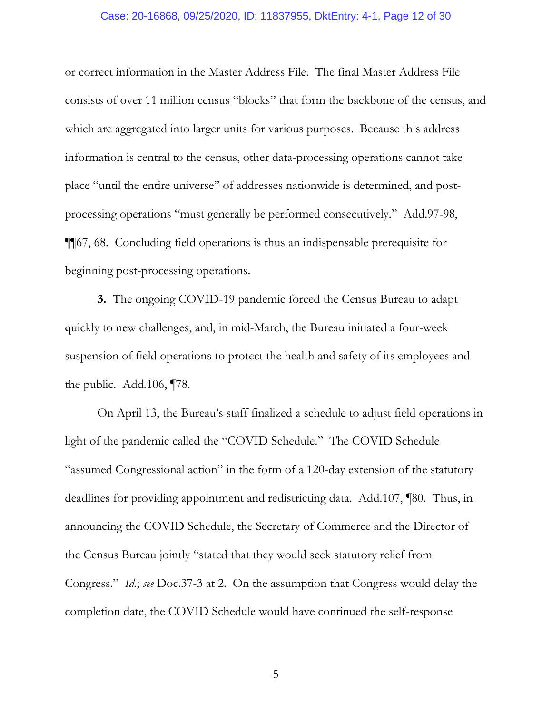### Case: 20-16868, 09/25/2020, ID: 11837955, DktEntry: 4-1, Page 12 of 30

or correct information in the Master Address File. The final Master Address File consists of over 11 million census "blocks" that form the backbone of the census, and which are aggregated into larger units for various purposes. Because this address information is central to the census, other data-processing operations cannot take place "until the entire universe" of addresses nationwide is determined, and postprocessing operations "must generally be performed consecutively." Add.97-98, ¶¶67, 68. Concluding field operations is thus an indispensable prerequisite for beginning post-processing operations.

**3.** The ongoing COVID-19 pandemic forced the Census Bureau to adapt quickly to new challenges, and, in mid-March, the Bureau initiated a four-week suspension of field operations to protect the health and safety of its employees and the public. Add.106, ¶78.

On April 13, the Bureau's staff finalized a schedule to adjust field operations in light of the pandemic called the "COVID Schedule." The COVID Schedule "assumed Congressional action" in the form of a 120-day extension of the statutory deadlines for providing appointment and redistricting data. Add.107, ¶80. Thus, in announcing the COVID Schedule, the Secretary of Commerce and the Director of the Census Bureau jointly "stated that they would seek statutory relief from Congress." *Id.*; *see* Doc.37-3 at 2. On the assumption that Congress would delay the completion date, the COVID Schedule would have continued the self-response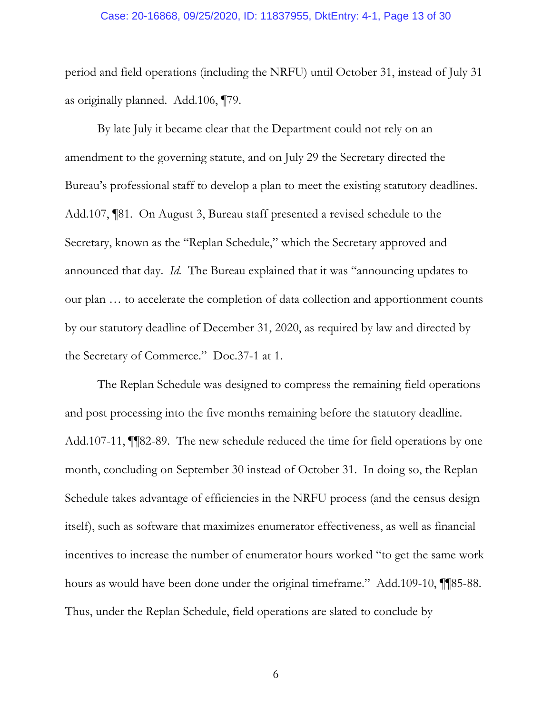#### Case: 20-16868, 09/25/2020, ID: 11837955, DktEntry: 4-1, Page 13 of 30

period and field operations (including the NRFU) until October 31, instead of July 31 as originally planned. Add.106, ¶79.

By late July it became clear that the Department could not rely on an amendment to the governing statute, and on July 29 the Secretary directed the Bureau's professional staff to develop a plan to meet the existing statutory deadlines. Add.107, ¶81. On August 3, Bureau staff presented a revised schedule to the Secretary, known as the "Replan Schedule," which the Secretary approved and announced that day. *Id.* The Bureau explained that it was "announcing updates to our plan … to accelerate the completion of data collection and apportionment counts by our statutory deadline of December 31, 2020, as required by law and directed by the Secretary of Commerce." Doc.37-1 at 1.

The Replan Schedule was designed to compress the remaining field operations and post processing into the five months remaining before the statutory deadline. Add.107-11, ¶¶82-89. The new schedule reduced the time for field operations by one month, concluding on September 30 instead of October 31. In doing so, the Replan Schedule takes advantage of efficiencies in the NRFU process (and the census design itself), such as software that maximizes enumerator effectiveness, as well as financial incentives to increase the number of enumerator hours worked "to get the same work hours as would have been done under the original timeframe." Add.109-10, ¶¶85-88. Thus, under the Replan Schedule, field operations are slated to conclude by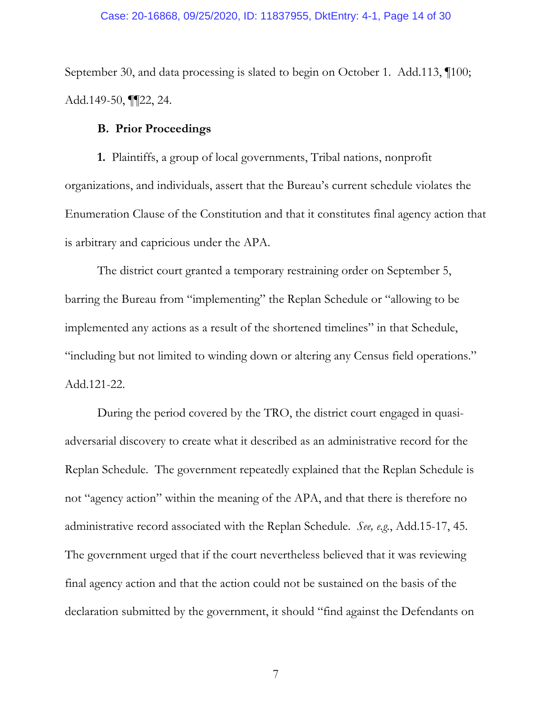### Case: 20-16868, 09/25/2020, ID: 11837955, DktEntry: 4-1, Page 14 of 30

September 30, and data processing is slated to begin on October 1. Add.113, ¶100; Add.149-50, ¶¶22, 24.

## **B. Prior Proceedings**

**1.** Plaintiffs, a group of local governments, Tribal nations, nonprofit organizations, and individuals, assert that the Bureau's current schedule violates the Enumeration Clause of the Constitution and that it constitutes final agency action that is arbitrary and capricious under the APA.

The district court granted a temporary restraining order on September 5, barring the Bureau from "implementing" the Replan Schedule or "allowing to be implemented any actions as a result of the shortened timelines" in that Schedule, "including but not limited to winding down or altering any Census field operations." Add.121-22.

During the period covered by the TRO, the district court engaged in quasiadversarial discovery to create what it described as an administrative record for the Replan Schedule. The government repeatedly explained that the Replan Schedule is not "agency action" within the meaning of the APA, and that there is therefore no administrative record associated with the Replan Schedule. *See, e.g.*, Add.15-17, 45. The government urged that if the court nevertheless believed that it was reviewing final agency action and that the action could not be sustained on the basis of the declaration submitted by the government, it should "find against the Defendants on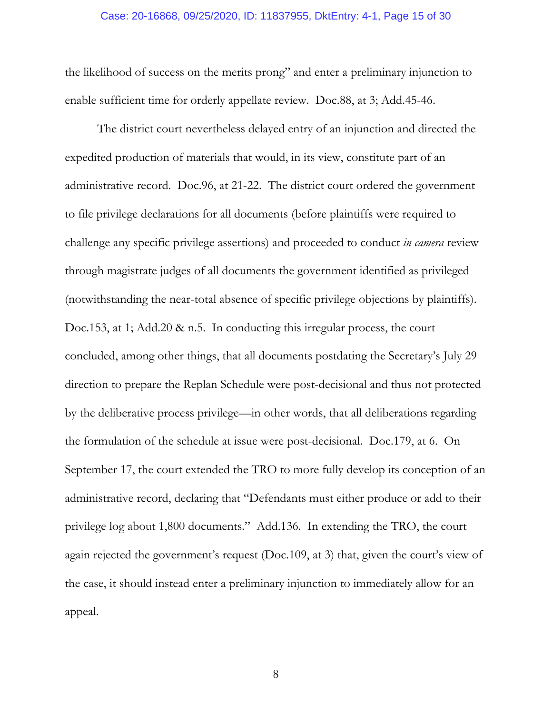## Case: 20-16868, 09/25/2020, ID: 11837955, DktEntry: 4-1, Page 15 of 30

the likelihood of success on the merits prong" and enter a preliminary injunction to enable sufficient time for orderly appellate review. Doc.88, at 3; Add.45-46.

The district court nevertheless delayed entry of an injunction and directed the expedited production of materials that would, in its view, constitute part of an administrative record. Doc.96, at 21-22. The district court ordered the government to file privilege declarations for all documents (before plaintiffs were required to challenge any specific privilege assertions) and proceeded to conduct *in camera* review through magistrate judges of all documents the government identified as privileged (notwithstanding the near-total absence of specific privilege objections by plaintiffs). Doc.153, at 1; Add.20 & n.5. In conducting this irregular process, the court concluded, among other things, that all documents postdating the Secretary's July 29 direction to prepare the Replan Schedule were post-decisional and thus not protected by the deliberative process privilege—in other words, that all deliberations regarding the formulation of the schedule at issue were post-decisional. Doc.179, at 6. On September 17, the court extended the TRO to more fully develop its conception of an administrative record, declaring that "Defendants must either produce or add to their privilege log about 1,800 documents." Add.136. In extending the TRO, the court again rejected the government's request (Doc.109, at 3) that, given the court's view of the case, it should instead enter a preliminary injunction to immediately allow for an appeal.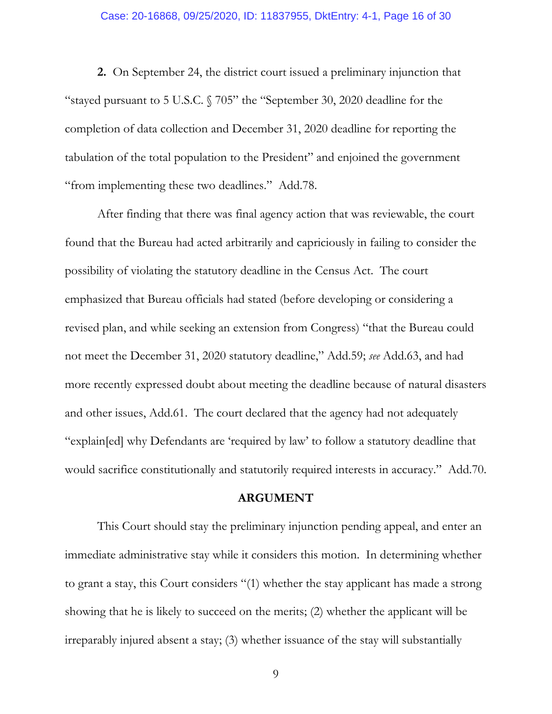## Case: 20-16868, 09/25/2020, ID: 11837955, DktEntry: 4-1, Page 16 of 30

**2.** On September 24, the district court issued a preliminary injunction that "stayed pursuant to 5 U.S.C. § 705" the "September 30, 2020 deadline for the completion of data collection and December 31, 2020 deadline for reporting the tabulation of the total population to the President" and enjoined the government "from implementing these two deadlines." Add.78.

After finding that there was final agency action that was reviewable, the court found that the Bureau had acted arbitrarily and capriciously in failing to consider the possibility of violating the statutory deadline in the Census Act. The court emphasized that Bureau officials had stated (before developing or considering a revised plan, and while seeking an extension from Congress) "that the Bureau could not meet the December 31, 2020 statutory deadline," Add.59; *see* Add.63, and had more recently expressed doubt about meeting the deadline because of natural disasters and other issues, Add.61. The court declared that the agency had not adequately "explain[ed] why Defendants are 'required by law' to follow a statutory deadline that would sacrifice constitutionally and statutorily required interests in accuracy." Add.70.

## **ARGUMENT**

This Court should stay the preliminary injunction pending appeal, and enter an immediate administrative stay while it considers this motion. In determining whether to grant a stay, this Court considers "(1) whether the stay applicant has made a strong showing that he is likely to succeed on the merits; (2) whether the applicant will be irreparably injured absent a stay; (3) whether issuance of the stay will substantially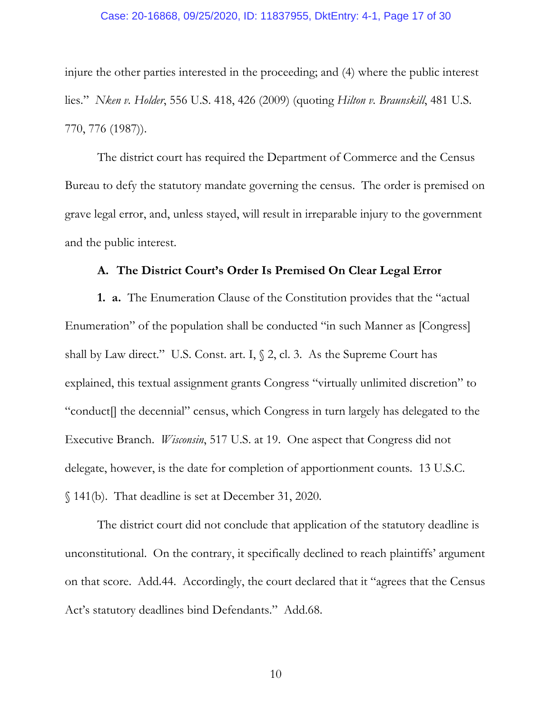### Case: 20-16868, 09/25/2020, ID: 11837955, DktEntry: 4-1, Page 17 of 30

injure the other parties interested in the proceeding; and (4) where the public interest lies." *Nken v. Holder*, 556 U.S. 418, 426 (2009) (quoting *Hilton v. Braunskill*, 481 U.S. 770, 776 (1987)).

The district court has required the Department of Commerce and the Census Bureau to defy the statutory mandate governing the census. The order is premised on grave legal error, and, unless stayed, will result in irreparable injury to the government and the public interest.

## **A. The District Court's Order Is Premised On Clear Legal Error**

**1. a.** The Enumeration Clause of the Constitution provides that the "actual Enumeration" of the population shall be conducted "in such Manner as [Congress] shall by Law direct." U.S. Const. art. I,  $\S$  2, cl. 3. As the Supreme Court has explained, this textual assignment grants Congress "virtually unlimited discretion" to "conduct[] the decennial" census, which Congress in turn largely has delegated to the Executive Branch. *Wisconsin*, 517 U.S. at 19. One aspect that Congress did not delegate, however, is the date for completion of apportionment counts. 13 U.S.C. § 141(b). That deadline is set at December 31, 2020.

The district court did not conclude that application of the statutory deadline is unconstitutional. On the contrary, it specifically declined to reach plaintiffs' argument on that score. Add.44. Accordingly, the court declared that it "agrees that the Census Act's statutory deadlines bind Defendants." Add.68.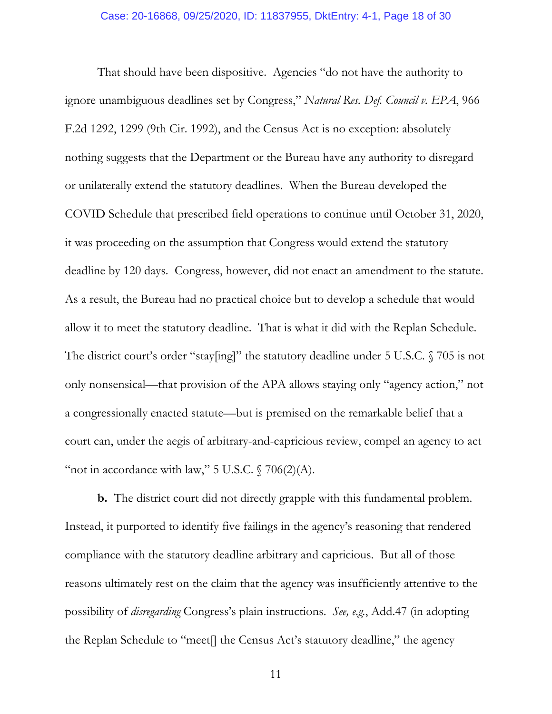That should have been dispositive. Agencies "do not have the authority to ignore unambiguous deadlines set by Congress," *Natural Res. Def. Council v. EPA*, 966 F.2d 1292, 1299 (9th Cir. 1992), and the Census Act is no exception: absolutely nothing suggests that the Department or the Bureau have any authority to disregard or unilaterally extend the statutory deadlines. When the Bureau developed the COVID Schedule that prescribed field operations to continue until October 31, 2020, it was proceeding on the assumption that Congress would extend the statutory deadline by 120 days. Congress, however, did not enact an amendment to the statute. As a result, the Bureau had no practical choice but to develop a schedule that would allow it to meet the statutory deadline. That is what it did with the Replan Schedule. The district court's order "stay[ing]" the statutory deadline under 5 U.S.C. § 705 is not only nonsensical—that provision of the APA allows staying only "agency action," not a congressionally enacted statute—but is premised on the remarkable belief that a court can, under the aegis of arbitrary-and-capricious review, compel an agency to act "not in accordance with law," 5 U.S.C.  $\sqrt{706(2)}$ (A).

**b.** The district court did not directly grapple with this fundamental problem. Instead, it purported to identify five failings in the agency's reasoning that rendered compliance with the statutory deadline arbitrary and capricious. But all of those reasons ultimately rest on the claim that the agency was insufficiently attentive to the possibility of *disregarding* Congress's plain instructions. *See, e.g.*, Add.47 (in adopting the Replan Schedule to "meet[] the Census Act's statutory deadline," the agency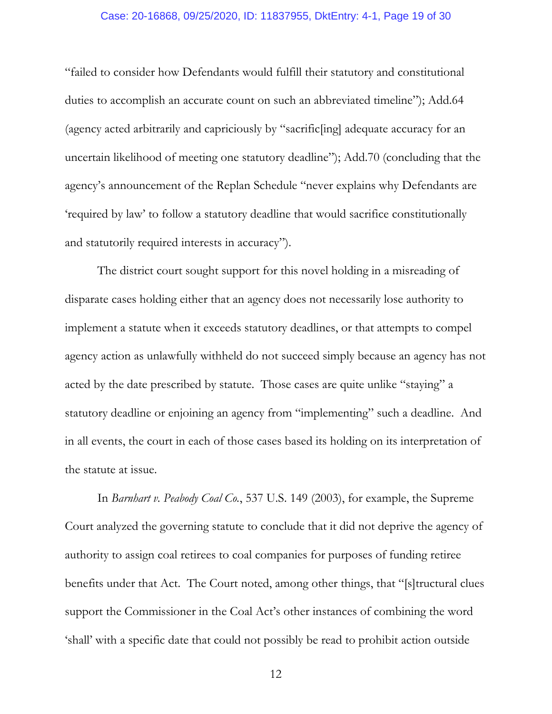### Case: 20-16868, 09/25/2020, ID: 11837955, DktEntry: 4-1, Page 19 of 30

"failed to consider how Defendants would fulfill their statutory and constitutional duties to accomplish an accurate count on such an abbreviated timeline"); Add.64 (agency acted arbitrarily and capriciously by "sacrific[ing] adequate accuracy for an uncertain likelihood of meeting one statutory deadline"); Add.70 (concluding that the agency's announcement of the Replan Schedule "never explains why Defendants are 'required by law' to follow a statutory deadline that would sacrifice constitutionally and statutorily required interests in accuracy").

The district court sought support for this novel holding in a misreading of disparate cases holding either that an agency does not necessarily lose authority to implement a statute when it exceeds statutory deadlines, or that attempts to compel agency action as unlawfully withheld do not succeed simply because an agency has not acted by the date prescribed by statute. Those cases are quite unlike "staying" a statutory deadline or enjoining an agency from "implementing" such a deadline. And in all events, the court in each of those cases based its holding on its interpretation of the statute at issue.

In *Barnhart v. Peabody Coal Co.*, 537 U.S. 149 (2003), for example, the Supreme Court analyzed the governing statute to conclude that it did not deprive the agency of authority to assign coal retirees to coal companies for purposes of funding retiree benefits under that Act. The Court noted, among other things, that "[s]tructural clues support the Commissioner in the Coal Act's other instances of combining the word 'shall' with a specific date that could not possibly be read to prohibit action outside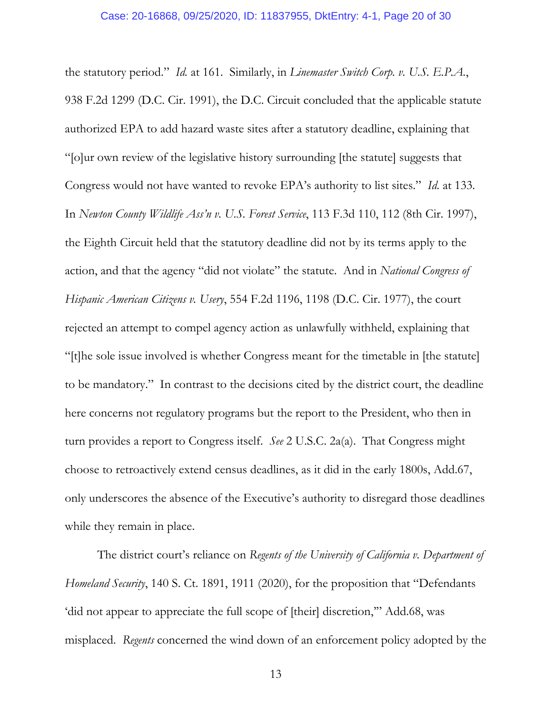the statutory period." *Id.* at 161. Similarly, in *Linemaster Switch Corp. v. U.S. E.P.A.*, 938 F.2d 1299 (D.C. Cir. 1991), the D.C. Circuit concluded that the applicable statute authorized EPA to add hazard waste sites after a statutory deadline, explaining that "[o]ur own review of the legislative history surrounding [the statute] suggests that Congress would not have wanted to revoke EPA's authority to list sites." *Id.* at 133. In *Newton County Wildlife Ass'n v. U.S. Forest Service*, 113 F.3d 110, 112 (8th Cir. 1997), the Eighth Circuit held that the statutory deadline did not by its terms apply to the action, and that the agency "did not violate" the statute. And in *National Congress of Hispanic American Citizens v. Usery*, 554 F.2d 1196, 1198 (D.C. Cir. 1977), the court rejected an attempt to compel agency action as unlawfully withheld, explaining that "[t]he sole issue involved is whether Congress meant for the timetable in [the statute] to be mandatory." In contrast to the decisions cited by the district court, the deadline here concerns not regulatory programs but the report to the President, who then in turn provides a report to Congress itself. *See* 2 U.S.C. 2a(a). That Congress might choose to retroactively extend census deadlines, as it did in the early 1800s, Add.67, only underscores the absence of the Executive's authority to disregard those deadlines while they remain in place.

The district court's reliance on *Regents of the University of California v. Department of Homeland Security*, 140 S. Ct. 1891, 1911 (2020), for the proposition that "Defendants 'did not appear to appreciate the full scope of [their] discretion,'" Add.68, was misplaced. *Regents* concerned the wind down of an enforcement policy adopted by the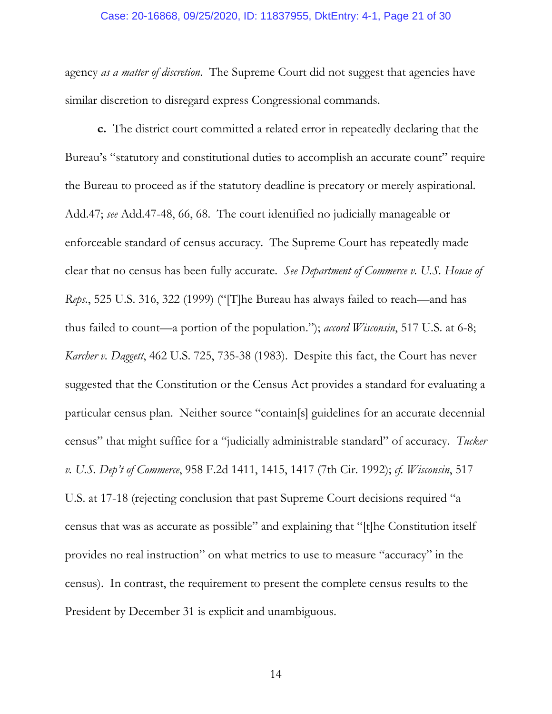### Case: 20-16868, 09/25/2020, ID: 11837955, DktEntry: 4-1, Page 21 of 30

agency *as a matter of discretion*. The Supreme Court did not suggest that agencies have similar discretion to disregard express Congressional commands.

**c.** The district court committed a related error in repeatedly declaring that the Bureau's "statutory and constitutional duties to accomplish an accurate count" require the Bureau to proceed as if the statutory deadline is precatory or merely aspirational. Add.47; *see* Add.47-48, 66, 68. The court identified no judicially manageable or enforceable standard of census accuracy. The Supreme Court has repeatedly made clear that no census has been fully accurate. *See Department of Commerce v. U.S. House of Reps.*, 525 U.S. 316, 322 (1999) ("[T]he Bureau has always failed to reach—and has thus failed to count—a portion of the population."); *accord Wisconsin*, 517 U.S. at 6-8; *Karcher v. Daggett*, 462 U.S. 725, 735-38 (1983). Despite this fact, the Court has never suggested that the Constitution or the Census Act provides a standard for evaluating a particular census plan. Neither source "contain[s] guidelines for an accurate decennial census" that might suffice for a "judicially administrable standard" of accuracy. *Tucker v. U.S. Dep't of Commerce*, 958 F.2d 1411, 1415, 1417 (7th Cir. 1992); *cf. Wisconsin*, 517 U.S. at 17-18 (rejecting conclusion that past Supreme Court decisions required "a census that was as accurate as possible" and explaining that "[t]he Constitution itself provides no real instruction" on what metrics to use to measure "accuracy" in the census). In contrast, the requirement to present the complete census results to the President by December 31 is explicit and unambiguous.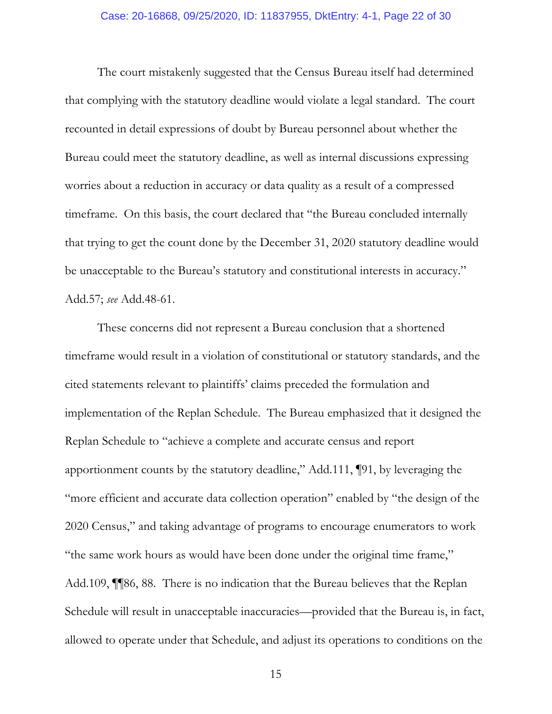### Case: 20-16868, 09/25/2020, ID: 11837955, DktEntry: 4-1, Page 22 of 30

The court mistakenly suggested that the Census Bureau itself had determined that complying with the statutory deadline would violate a legal standard. The court recounted in detail expressions of doubt by Bureau personnel about whether the Bureau could meet the statutory deadline, as well as internal discussions expressing worries about a reduction in accuracy or data quality as a result of a compressed timeframe. On this basis, the court declared that "the Bureau concluded internally that trying to get the count done by the December 31, 2020 statutory deadline would be unacceptable to the Bureau's statutory and constitutional interests in accuracy." Add.57; *see* Add.48-61.

These concerns did not represent a Bureau conclusion that a shortened timeframe would result in a violation of constitutional or statutory standards, and the cited statements relevant to plaintiffs' claims preceded the formulation and implementation of the Replan Schedule. The Bureau emphasized that it designed the Replan Schedule to "achieve a complete and accurate census and report apportionment counts by the statutory deadline," Add.111, ¶91, by leveraging the "more efficient and accurate data collection operation" enabled by "the design of the 2020 Census," and taking advantage of programs to encourage enumerators to work "the same work hours as would have been done under the original time frame," Add.109, ¶¶86, 88. There is no indication that the Bureau believes that the Replan Schedule will result in unacceptable inaccuracies—provided that the Bureau is, in fact, allowed to operate under that Schedule, and adjust its operations to conditions on the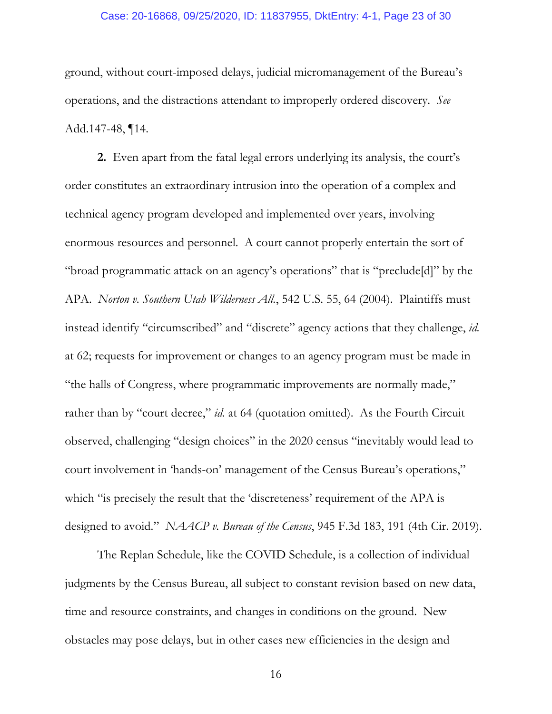### Case: 20-16868, 09/25/2020, ID: 11837955, DktEntry: 4-1, Page 23 of 30

ground, without court-imposed delays, judicial micromanagement of the Bureau's operations, and the distractions attendant to improperly ordered discovery. *See* Add.147-48, ¶14.

**2.** Even apart from the fatal legal errors underlying its analysis, the court's order constitutes an extraordinary intrusion into the operation of a complex and technical agency program developed and implemented over years, involving enormous resources and personnel. A court cannot properly entertain the sort of "broad programmatic attack on an agency's operations" that is "preclude[d]" by the APA. *Norton v. Southern Utah Wilderness All.*, 542 U.S. 55, 64 (2004). Plaintiffs must instead identify "circumscribed" and "discrete" agency actions that they challenge, *id.*  at 62; requests for improvement or changes to an agency program must be made in "the halls of Congress, where programmatic improvements are normally made," rather than by "court decree," *id.* at 64 (quotation omitted). As the Fourth Circuit observed, challenging "design choices" in the 2020 census "inevitably would lead to court involvement in 'hands-on' management of the Census Bureau's operations," which "is precisely the result that the 'discreteness' requirement of the APA is designed to avoid." *NAACP v. Bureau of the Census*, 945 F.3d 183, 191 (4th Cir. 2019).

The Replan Schedule, like the COVID Schedule, is a collection of individual judgments by the Census Bureau, all subject to constant revision based on new data, time and resource constraints, and changes in conditions on the ground. New obstacles may pose delays, but in other cases new efficiencies in the design and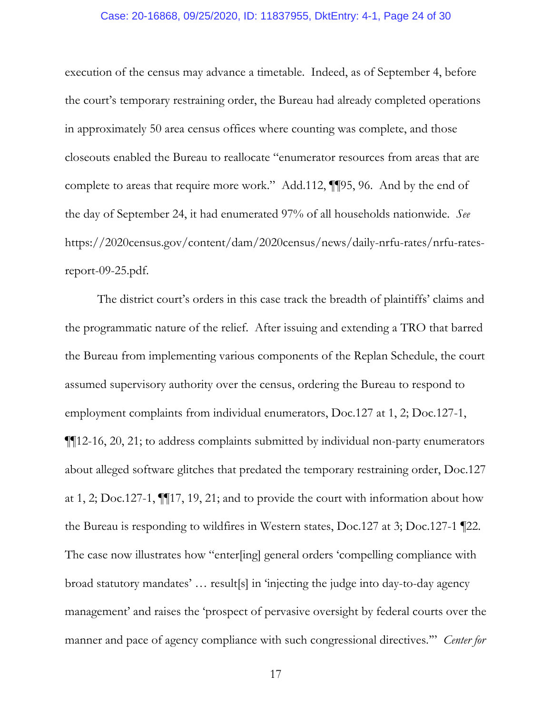### Case: 20-16868, 09/25/2020, ID: 11837955, DktEntry: 4-1, Page 24 of 30

execution of the census may advance a timetable. Indeed, as of September 4, before the court's temporary restraining order, the Bureau had already completed operations in approximately 50 area census offices where counting was complete, and those closeouts enabled the Bureau to reallocate "enumerator resources from areas that are complete to areas that require more work." Add.112, ¶¶95, 96. And by the end of the day of September 24, it had enumerated 97% of all households nationwide. *See*  https://2020census.gov/content/dam/2020census/news/daily-nrfu-rates/nrfu-ratesreport-09-25.pdf.

The district court's orders in this case track the breadth of plaintiffs' claims and the programmatic nature of the relief. After issuing and extending a TRO that barred the Bureau from implementing various components of the Replan Schedule, the court assumed supervisory authority over the census, ordering the Bureau to respond to employment complaints from individual enumerators, Doc.127 at 1, 2; Doc.127-1, ¶¶12-16, 20, 21; to address complaints submitted by individual non-party enumerators about alleged software glitches that predated the temporary restraining order, Doc.127 at 1, 2; Doc.127-1, ¶¶17, 19, 21; and to provide the court with information about how the Bureau is responding to wildfires in Western states, Doc.127 at 3; Doc.127-1 ¶22. The case now illustrates how "enter[ing] general orders 'compelling compliance with broad statutory mandates' … result[s] in 'injecting the judge into day-to-day agency management' and raises the 'prospect of pervasive oversight by federal courts over the manner and pace of agency compliance with such congressional directives.'" *Center for*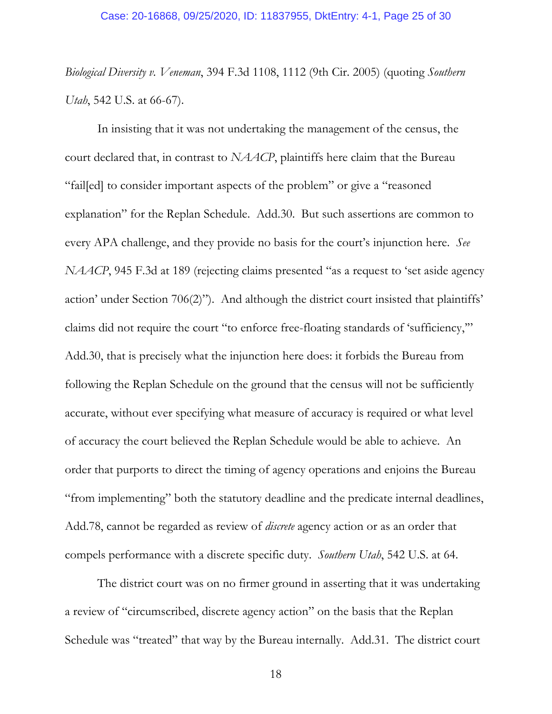*Biological Diversity v. Veneman*, 394 F.3d 1108, 1112 (9th Cir. 2005) (quoting *Southern Utah*, 542 U.S. at 66-67).

In insisting that it was not undertaking the management of the census, the court declared that, in contrast to *NAACP*, plaintiffs here claim that the Bureau "fail[ed] to consider important aspects of the problem" or give a "reasoned explanation" for the Replan Schedule. Add.30. But such assertions are common to every APA challenge, and they provide no basis for the court's injunction here. *See NAACP*, 945 F.3d at 189 (rejecting claims presented "as a request to 'set aside agency action' under Section 706(2)"). And although the district court insisted that plaintiffs' claims did not require the court "to enforce free-floating standards of 'sufficiency,'" Add.30, that is precisely what the injunction here does: it forbids the Bureau from following the Replan Schedule on the ground that the census will not be sufficiently accurate, without ever specifying what measure of accuracy is required or what level of accuracy the court believed the Replan Schedule would be able to achieve. An order that purports to direct the timing of agency operations and enjoins the Bureau "from implementing" both the statutory deadline and the predicate internal deadlines, Add.78, cannot be regarded as review of *discrete* agency action or as an order that compels performance with a discrete specific duty. *Southern Utah*, 542 U.S. at 64.

The district court was on no firmer ground in asserting that it was undertaking a review of "circumscribed, discrete agency action" on the basis that the Replan Schedule was "treated" that way by the Bureau internally. Add.31. The district court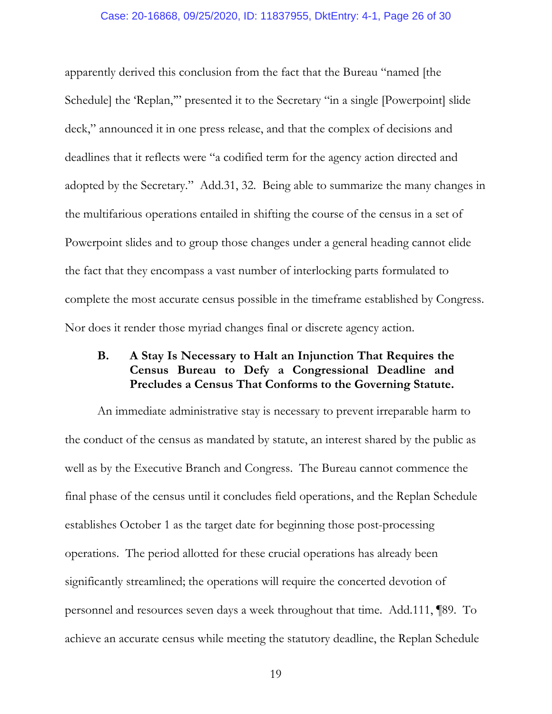### Case: 20-16868, 09/25/2020, ID: 11837955, DktEntry: 4-1, Page 26 of 30

apparently derived this conclusion from the fact that the Bureau "named [the Schedule] the 'Replan,'" presented it to the Secretary "in a single [Powerpoint] slide deck," announced it in one press release, and that the complex of decisions and deadlines that it reflects were "a codified term for the agency action directed and adopted by the Secretary." Add.31, 32. Being able to summarize the many changes in the multifarious operations entailed in shifting the course of the census in a set of Powerpoint slides and to group those changes under a general heading cannot elide the fact that they encompass a vast number of interlocking parts formulated to complete the most accurate census possible in the timeframe established by Congress. Nor does it render those myriad changes final or discrete agency action.

# **B. A Stay Is Necessary to Halt an Injunction That Requires the Census Bureau to Defy a Congressional Deadline and Precludes a Census That Conforms to the Governing Statute.**

An immediate administrative stay is necessary to prevent irreparable harm to the conduct of the census as mandated by statute, an interest shared by the public as well as by the Executive Branch and Congress. The Bureau cannot commence the final phase of the census until it concludes field operations, and the Replan Schedule establishes October 1 as the target date for beginning those post-processing operations. The period allotted for these crucial operations has already been significantly streamlined; the operations will require the concerted devotion of personnel and resources seven days a week throughout that time. Add.111, ¶89.To achieve an accurate census while meeting the statutory deadline, the Replan Schedule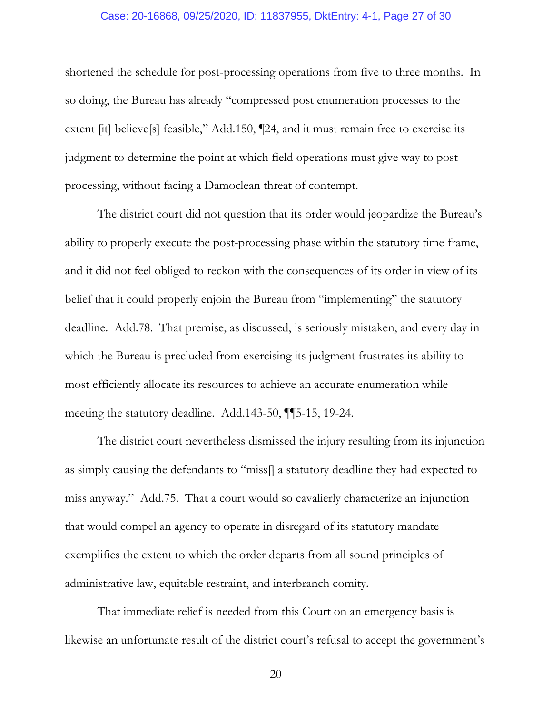### Case: 20-16868, 09/25/2020, ID: 11837955, DktEntry: 4-1, Page 27 of 30

shortened the schedule for post-processing operations from five to three months. In so doing, the Bureau has already "compressed post enumeration processes to the extent [it] believe[s] feasible," Add.150, [[24, and it must remain free to exercise its judgment to determine the point at which field operations must give way to post processing, without facing a Damoclean threat of contempt.

The district court did not question that its order would jeopardize the Bureau's ability to properly execute the post-processing phase within the statutory time frame, and it did not feel obliged to reckon with the consequences of its order in view of its belief that it could properly enjoin the Bureau from "implementing" the statutory deadline. Add.78. That premise, as discussed, is seriously mistaken, and every day in which the Bureau is precluded from exercising its judgment frustrates its ability to most efficiently allocate its resources to achieve an accurate enumeration while meeting the statutory deadline. Add.143-50, ¶¶5-15, 19-24.

The district court nevertheless dismissed the injury resulting from its injunction as simply causing the defendants to "miss[] a statutory deadline they had expected to miss anyway." Add.75. That a court would so cavalierly characterize an injunction that would compel an agency to operate in disregard of its statutory mandate exemplifies the extent to which the order departs from all sound principles of administrative law, equitable restraint, and interbranch comity.

That immediate relief is needed from this Court on an emergency basis is likewise an unfortunate result of the district court's refusal to accept the government's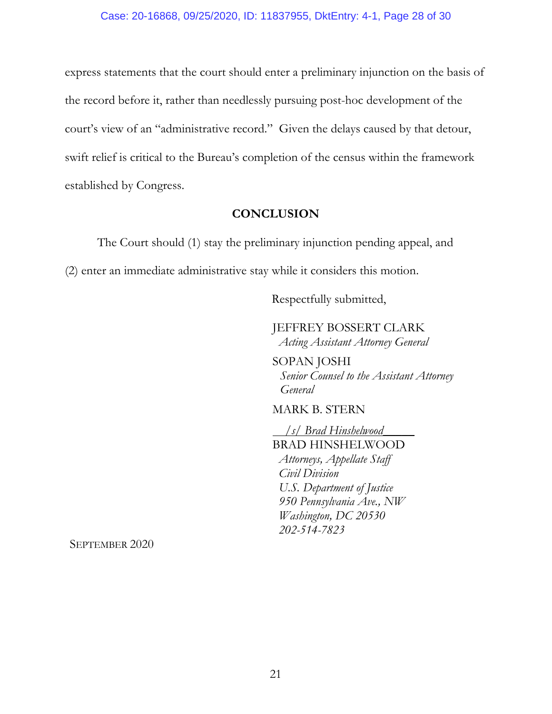express statements that the court should enter a preliminary injunction on the basis of the record before it, rather than needlessly pursuing post-hoc development of the court's view of an "administrative record." Given the delays caused by that detour, swift relief is critical to the Bureau's completion of the census within the framework established by Congress.

## **CONCLUSION**

The Court should (1) stay the preliminary injunction pending appeal, and (2) enter an immediate administrative stay while it considers this motion.

Respectfully submitted,

JEFFREY BOSSERT CLARK  *Acting Assistant Attorney General* 

SOPAN JOSHI *Senior Counsel to the Assistant Attorney General*

MARK B. STERN

 */s/ Brad Hinshelwood\_\_\_\_\_*  BRAD HINSHELWOOD  *Attorneys, Appellate Staff Civil Division U.S. Department of Justice 950 Pennsylvania Ave., NW Washington, DC 20530 202-514-7823* 

SEPTEMBER 2020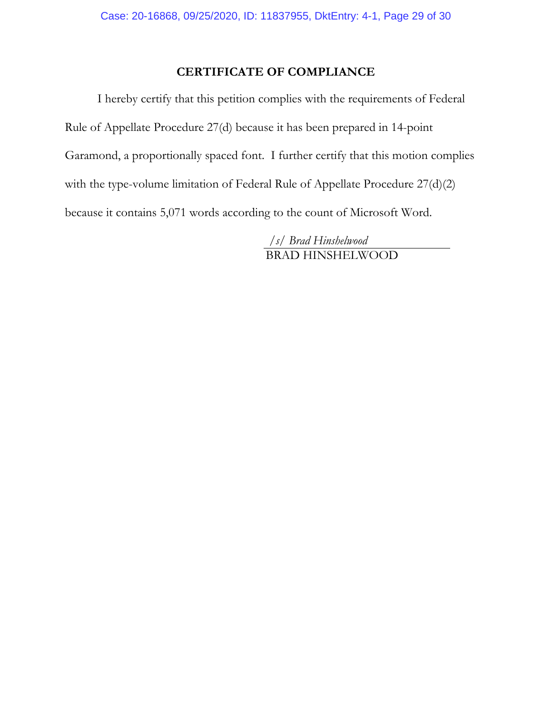# **CERTIFICATE OF COMPLIANCE**

I hereby certify that this petition complies with the requirements of Federal Rule of Appellate Procedure 27(d) because it has been prepared in 14-point Garamond, a proportionally spaced font. I further certify that this motion complies with the type-volume limitation of Federal Rule of Appellate Procedure 27(d)(2) because it contains 5,071 words according to the count of Microsoft Word.

> */s/ Brad Hinshelwood*  BRAD HINSHELWOOD